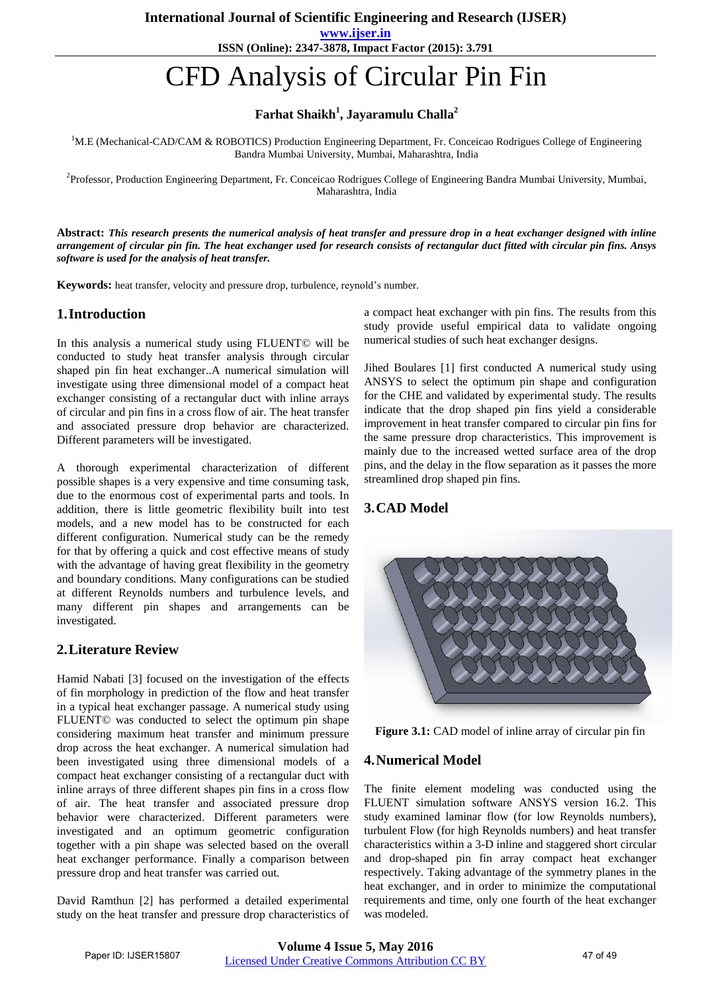**www.ijser.in ISSN (Online): 2347-3878, Impact Factor (2015): 3.791**

# CFD Analysis of Circular Pin Fin

## **Farhat Shaikh<sup>1</sup> , Jayaramulu Challa<sup>2</sup>**

<sup>1</sup>M.E (Mechanical-CAD/CAM & ROBOTICS) Production Engineering Department, Fr. Conceicao Rodrigues College of Engineering Bandra Mumbai University, Mumbai, Maharashtra, India

<sup>2</sup>Professor, Production Engineering Department, Fr. Conceicao Rodrigues College of Engineering Bandra Mumbai University, Mumbai, Maharashtra, India

**Abstract:** *This research presents the numerical analysis of heat transfer and pressure drop in a heat exchanger designed with inline arrangement of circular pin fin. The heat exchanger used for research consists of rectangular duct fitted with circular pin fins. Ansys software is used for the analysis of heat transfer.*

**Keywords:** heat transfer, velocity and pressure drop, turbulence, reynold's number.

#### **1.Introduction**

In this analysis a numerical study using FLUENT© will be conducted to study heat transfer analysis through circular shaped pin fin heat exchanger..A numerical simulation will investigate using three dimensional model of a compact heat exchanger consisting of a rectangular duct with inline arrays of circular and pin fins in a cross flow of air. The heat transfer and associated pressure drop behavior are characterized. Different parameters will be investigated.

A thorough experimental characterization of different possible shapes is a very expensive and time consuming task, due to the enormous cost of experimental parts and tools. In addition, there is little geometric flexibility built into test models, and a new model has to be constructed for each different configuration. Numerical study can be the remedy for that by offering a quick and cost effective means of study with the advantage of having great flexibility in the geometry and boundary conditions. Many configurations can be studied at different Reynolds numbers and turbulence levels, and many different pin shapes and arrangements can be investigated.

#### **2.Literature Review**

Hamid Nabati [3] focused on the investigation of the effects of fin morphology in prediction of the flow and heat transfer in a typical heat exchanger passage. A numerical study using FLUENT© was conducted to select the optimum pin shape considering maximum heat transfer and minimum pressure drop across the heat exchanger. A numerical simulation had been investigated using three dimensional models of a compact heat exchanger consisting of a rectangular duct with inline arrays of three different shapes pin fins in a cross flow of air. The heat transfer and associated pressure drop behavior were characterized. Different parameters were investigated and an optimum geometric configuration together with a pin shape was selected based on the overall heat exchanger performance. Finally a comparison between pressure drop and heat transfer was carried out.

David Ramthun [2] has performed a detailed experimental study on the heat transfer and pressure drop characteristics of a compact heat exchanger with pin fins. The results from this study provide useful empirical data to validate ongoing numerical studies of such heat exchanger designs.

Jihed Boulares [1] first conducted A numerical study using ANSYS to select the optimum pin shape and configuration for the CHE and validated by experimental study. The results indicate that the drop shaped pin fins yield a considerable improvement in heat transfer compared to circular pin fins for the same pressure drop characteristics. This improvement is mainly due to the increased wetted surface area of the drop pins, and the delay in the flow separation as it passes the more streamlined drop shaped pin fins.

### **3.CAD Model**



**Figure 3.1:** CAD model of inline array of circular pin fin

#### **4.Numerical Model**

The finite element modeling was conducted using the FLUENT simulation software ANSYS version 16.2. This study examined laminar flow (for low Reynolds numbers), turbulent Flow (for high Reynolds numbers) and heat transfer characteristics within a 3-D inline and staggered short circular and drop-shaped pin fin array compact heat exchanger respectively. Taking advantage of the symmetry planes in the heat exchanger, and in order to minimize the computational requirements and time, only one fourth of the heat exchanger was modeled.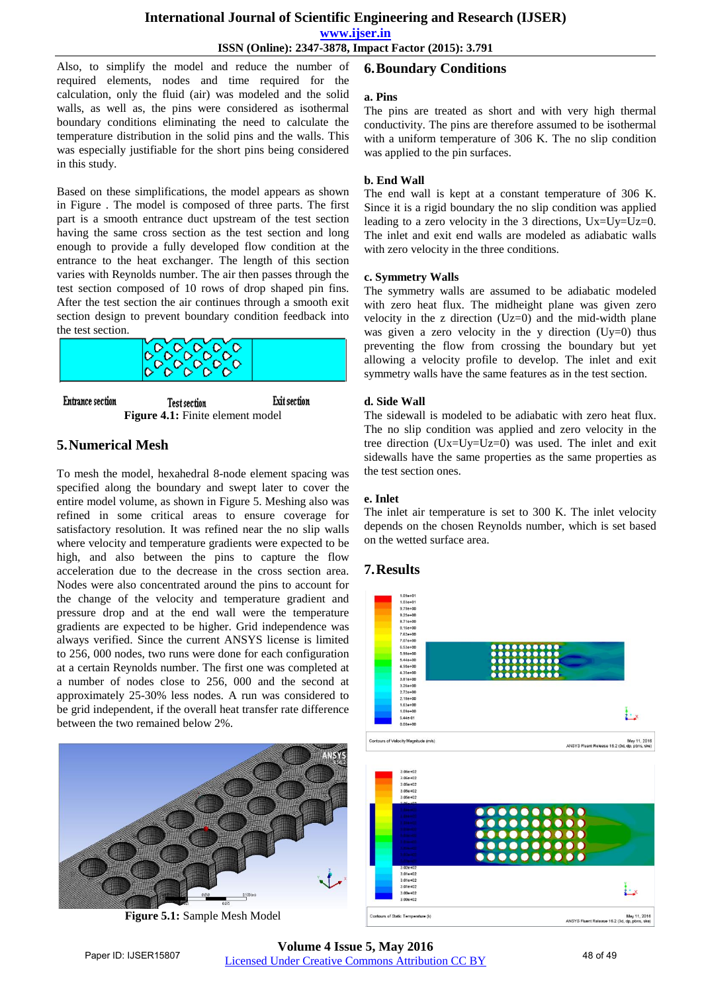#### **International Journal of Scientific Engineering and Research (IJSER)**

**www.ijser.in**

**ISSN (Online): 2347-3878, Impact Factor (2015): 3.791**

Also, to simplify the model and reduce the number of required elements, nodes and time required for the calculation, only the fluid (air) was modeled and the solid walls, as well as, the pins were considered as isothermal boundary conditions eliminating the need to calculate the temperature distribution in the solid pins and the walls. This was especially justifiable for the short pins being considered in this study.

Based on these simplifications, the model appears as shown in Figure . The model is composed of three parts. The first part is a smooth entrance duct upstream of the test section having the same cross section as the test section and long enough to provide a fully developed flow condition at the entrance to the heat exchanger. The length of this section varies with Reynolds number. The air then passes through the test section composed of 10 rows of drop shaped pin fins. After the test section the air continues through a smooth exit the test section.



#### **Entrance** section **Test section Exit section Figure 4.1:** Finite element model

#### **5.Numerical Mesh**

To mesh the model, hexahedral 8-node element spacing was specified along the boundary and swept later to cover the entire model volume, as shown in Figure 5. Meshing also was refined in some critical areas to ensure coverage for satisfactory resolution. It was refined near the no slip walls where velocity and temperature gradients were expected to be high, and also between the pins to capture the flow acceleration due to the decrease in the cross section area. Nodes were also concentrated around the pins to account for the change of the velocity and temperature gradient and pressure drop and at the end wall were the temperature gradients are expected to be higher. Grid independence was always verified. Since the current ANSYS license is limited to 256, 000 nodes, two runs were done for each configuration at a certain Reynolds number. The first one was completed at a number of nodes close to 256, 000 and the second at approximately 25-30% less nodes. A run was considered to be grid independent, if the overall heat transfer rate difference between the two remained below 2%.



**Figure 5.1:** Sample Mesh Model

## **6.Boundary Conditions**

#### **a. Pins**

The pins are treated as short and with very high thermal conductivity. The pins are therefore assumed to be isothermal with a uniform temperature of 306 K. The no slip condition was applied to the pin surfaces.

#### **b. End Wall**

The end wall is kept at a constant temperature of 306 K. Since it is a rigid boundary the no slip condition was applied leading to a zero velocity in the 3 directions, Ux=Uy=Uz=0. The inlet and exit end walls are modeled as adiabatic walls with zero velocity in the three conditions.

#### **c. Symmetry Walls**

The symmetry walls are assumed to be adiabatic modeled with zero heat flux. The midheight plane was given zero velocity in the z direction (Uz=0) and the mid-width plane was given a zero velocity in the y direction  $(Uy=0)$  thus preventing the flow from crossing the boundary but yet allowing a velocity profile to develop. The inlet and exit symmetry walls have the same features as in the test section.

#### **d. Side Wall**

The sidewall is modeled to be adiabatic with zero heat flux. The no slip condition was applied and zero velocity in the tree direction (Ux=Uy=Uz=0) was used. The inlet and exit sidewalls have the same properties as the same properties as the test section ones.

#### **e. Inlet**

The inlet air temperature is set to 300 K. The inlet velocity depends on the chosen Reynolds number, which is set based on the wetted surface area.

### **7.Results**